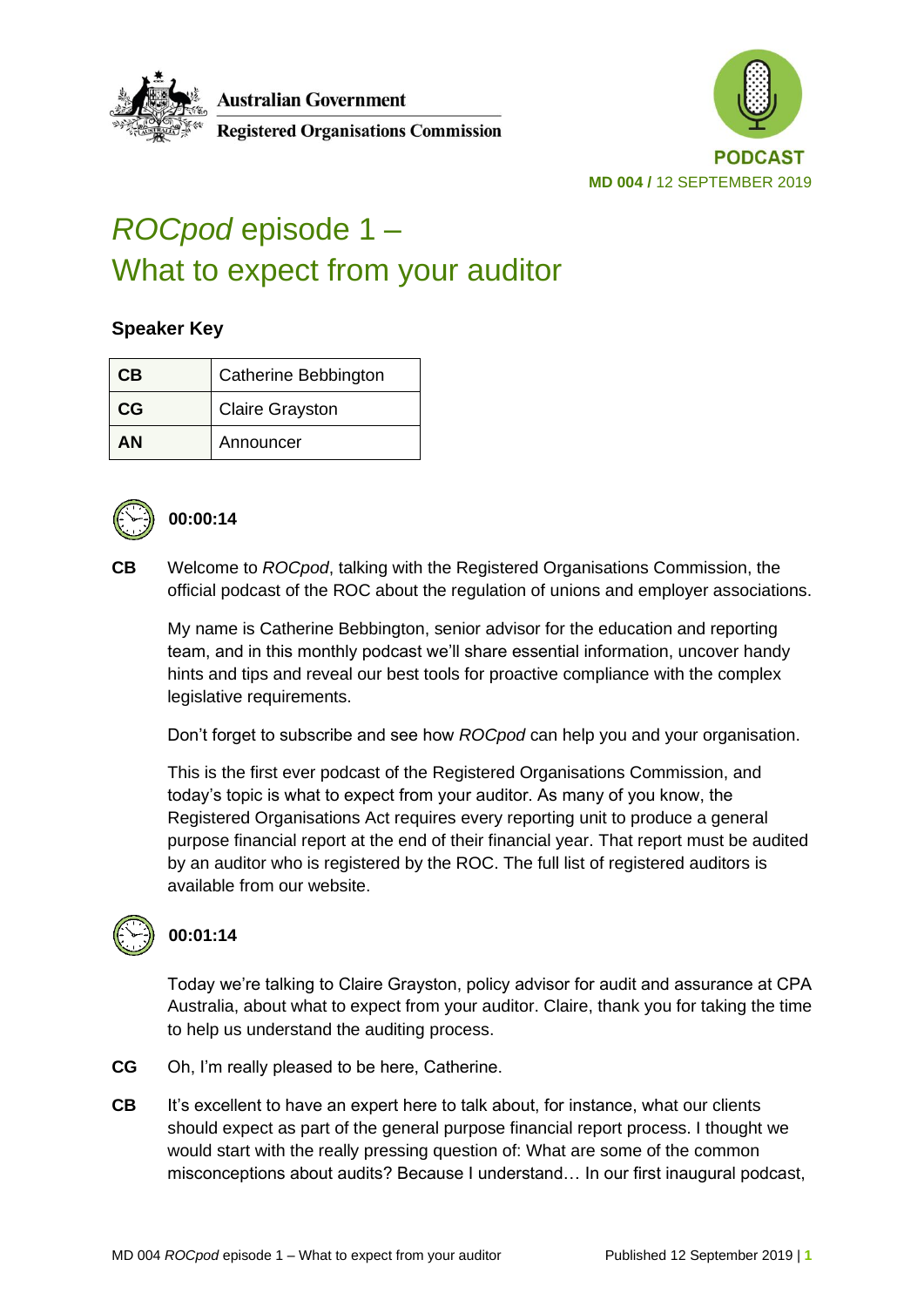



# *ROCpod* episode 1 – What to expect from your auditor

#### **Speaker Key**

| CВ | <b>Catherine Bebbington</b> |
|----|-----------------------------|
| CG | <b>Claire Grayston</b>      |
| ΔN | Announcer                   |



#### **00:00:14**

**CB** Welcome to *ROCpod*, talking with the Registered Organisations Commission, the official podcast of the ROC about the regulation of unions and employer associations.

My name is Catherine Bebbington, senior advisor for the education and reporting team, and in this monthly podcast we'll share essential information, uncover handy hints and tips and reveal our best tools for proactive compliance with the complex legislative requirements.

Don't forget to subscribe and see how *ROCpod* can help you and your organisation.

This is the first ever podcast of the Registered Organisations Commission, and today's topic is what to expect from your auditor. As many of you know, the Registered Organisations Act requires every reporting unit to produce a general purpose financial report at the end of their financial year. That report must be audited by an auditor who is registered by the ROC. The full list of registered auditors is available from our website.



## **00:01:14**

Today we're talking to Claire Grayston, policy advisor for audit and assurance at CPA Australia, about what to expect from your auditor. Claire, thank you for taking the time to help us understand the auditing process.

- **CG** Oh, I'm really pleased to be here, Catherine.
- **CB** It's excellent to have an expert here to talk about, for instance, what our clients should expect as part of the general purpose financial report process. I thought we would start with the really pressing question of: What are some of the common misconceptions about audits? Because I understand… In our first inaugural podcast,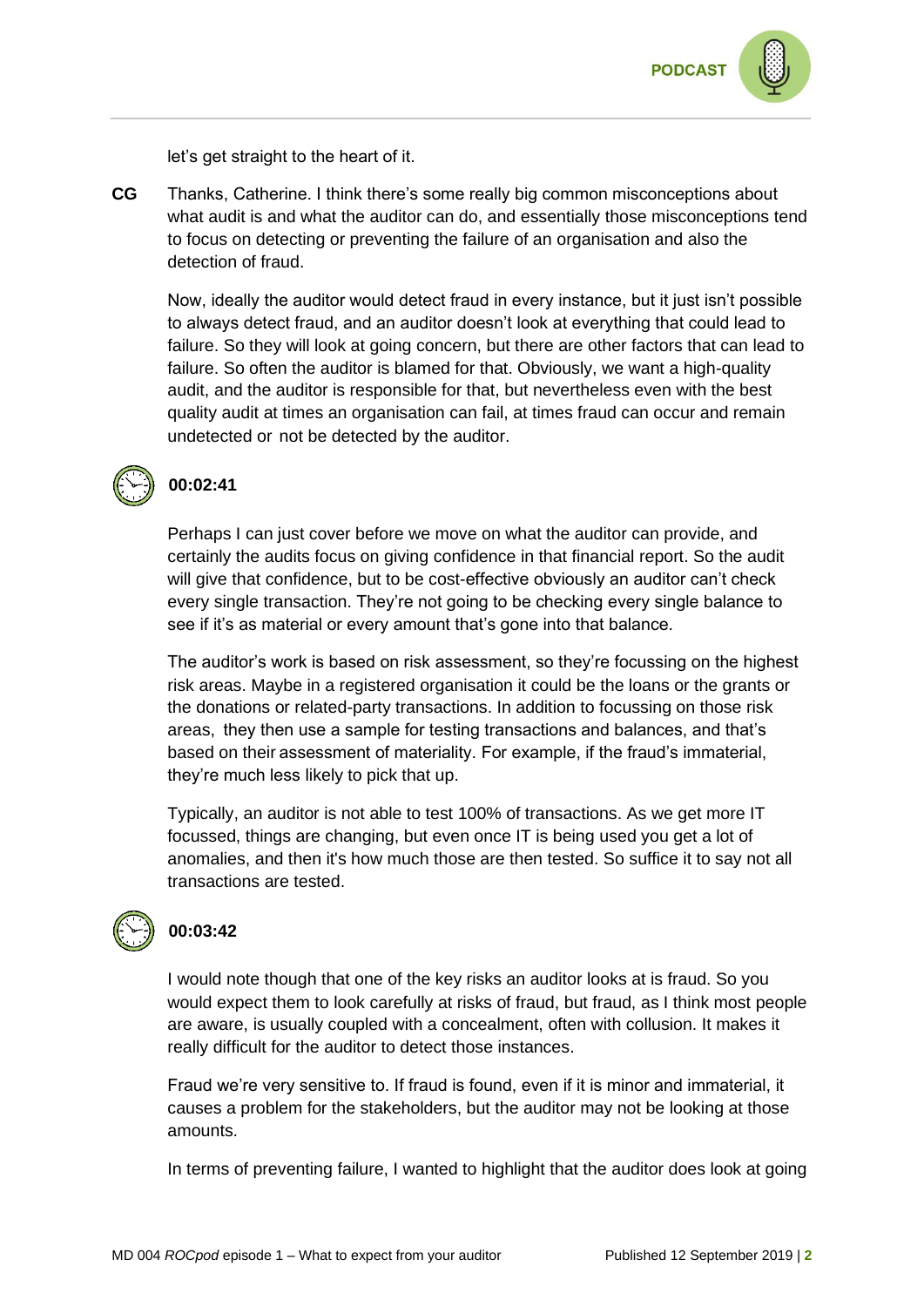

let's get straight to the heart of it.

**CG** Thanks, Catherine. I think there's some really big common misconceptions about what audit is and what the auditor can do, and essentially those misconceptions tend to focus on detecting or preventing the failure of an organisation and also the detection of fraud.

Now, ideally the auditor would detect fraud in every instance, but it just isn't possible to always detect fraud, and an auditor doesn't look at everything that could lead to failure. So they will look at going concern, but there are other factors that can lead to failure. So often the auditor is blamed for that. Obviously, we want a high-quality audit, and the auditor is responsible for that, but nevertheless even with the best quality audit at times an organisation can fail, at times fraud can occur and remain undetected or not be detected by the auditor.



## **00:02:41**

Perhaps I can just cover before we move on what the auditor can provide, and certainly the audits focus on giving confidence in that financial report. So the audit will give that confidence, but to be cost-effective obviously an auditor can't check every single transaction. They're not going to be checking every single balance to see if it's as material or every amount that's gone into that balance.

The auditor's work is based on risk assessment, so they're focussing on the highest risk areas. Maybe in a registered organisation it could be the loans or the grants or the donations or related-party transactions. In addition to focussing on those risk areas, they then use a sample for testing transactions and balances, and that's based on their assessment of materiality. For example, if the fraud's immaterial, they're much less likely to pick that up.

Typically, an auditor is not able to test 100% of transactions. As we get more IT focussed, things are changing, but even once IT is being used you get a lot of anomalies, and then it's how much those are then tested. So suffice it to say not all transactions are tested.



#### **00:03:42**

I would note though that one of the key risks an auditor looks at is fraud. So you would expect them to look carefully at risks of fraud, but fraud, as I think most people are aware, is usually coupled with a concealment, often with collusion. It makes it really difficult for the auditor to detect those instances.

Fraud we're very sensitive to. If fraud is found, even if it is minor and immaterial, it causes a problem for the stakeholders, but the auditor may not be looking at those amounts.

In terms of preventing failure, I wanted to highlight that the auditor does look at going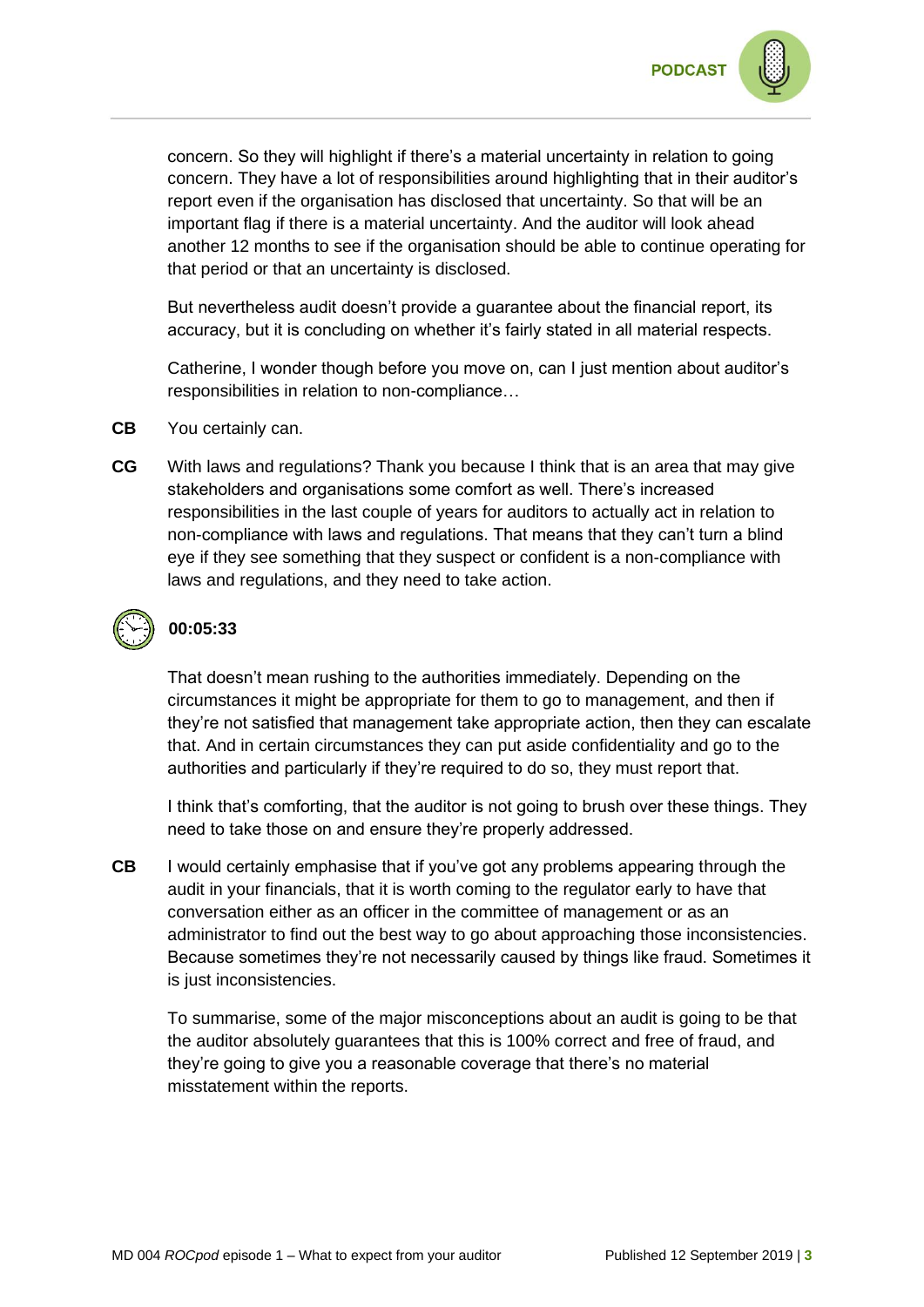concern. So they will highlight if there's a material uncertainty in relation to going concern. They have a lot of responsibilities around highlighting that in their auditor's report even if the organisation has disclosed that uncertainty. So that will be an important flag if there is a material uncertainty. And the auditor will look ahead another 12 months to see if the organisation should be able to continue operating for that period or that an uncertainty is disclosed.

But nevertheless audit doesn't provide a guarantee about the financial report, its accuracy, but it is concluding on whether it's fairly stated in all material respects.

Catherine, I wonder though before you move on, can I just mention about auditor's responsibilities in relation to non-compliance…

- **CB** You certainly can.
- **CG** With laws and regulations? Thank you because I think that is an area that may give stakeholders and organisations some comfort as well. There's increased responsibilities in the last couple of years for auditors to actually act in relation to non-compliance with laws and regulations. That means that they can't turn a blind eye if they see something that they suspect or confident is a non-compliance with laws and regulations, and they need to take action.

## **00:05:33**

That doesn't mean rushing to the authorities immediately. Depending on the circumstances it might be appropriate for them to go to management, and then if they're not satisfied that management take appropriate action, then they can escalate that. And in certain circumstances they can put aside confidentiality and go to the authorities and particularly if they're required to do so, they must report that.

I think that's comforting, that the auditor is not going to brush over these things. They need to take those on and ensure they're properly addressed.

**CB** I would certainly emphasise that if you've got any problems appearing through the audit in your financials, that it is worth coming to the regulator early to have that conversation either as an officer in the committee of management or as an administrator to find out the best way to go about approaching those inconsistencies. Because sometimes they're not necessarily caused by things like fraud. Sometimes it is just inconsistencies.

To summarise, some of the major misconceptions about an audit is going to be that the auditor absolutely guarantees that this is 100% correct and free of fraud, and they're going to give you a reasonable coverage that there's no material misstatement within the reports.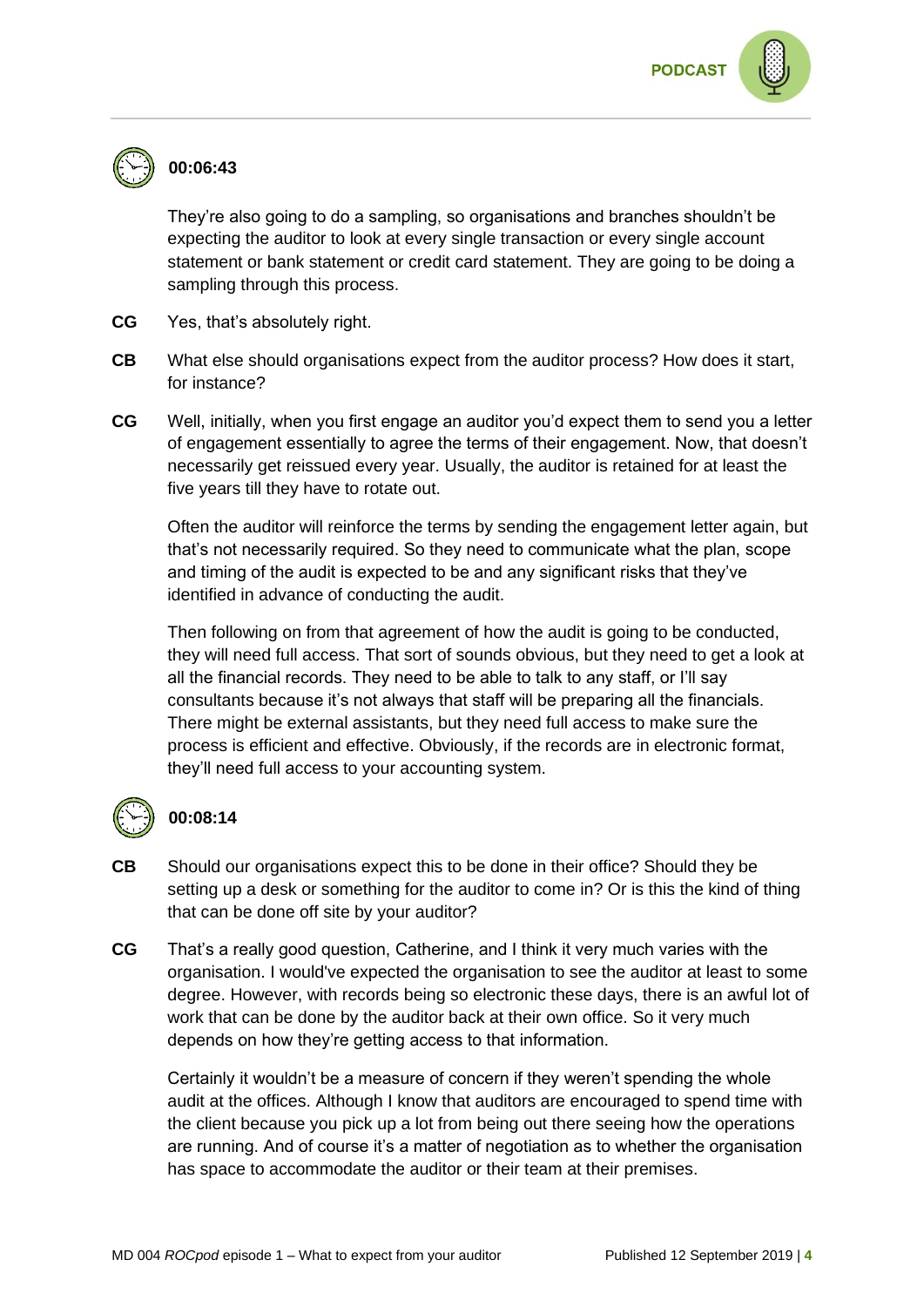

## **00:06:43**

They're also going to do a sampling, so organisations and branches shouldn't be expecting the auditor to look at every single transaction or every single account statement or bank statement or credit card statement. They are going to be doing a sampling through this process.

- **CG** Yes, that's absolutely right.
- **CB** What else should organisations expect from the auditor process? How does it start, for instance?
- **CG** Well, initially, when you first engage an auditor you'd expect them to send you a letter of engagement essentially to agree the terms of their engagement. Now, that doesn't necessarily get reissued every year. Usually, the auditor is retained for at least the five years till they have to rotate out.

Often the auditor will reinforce the terms by sending the engagement letter again, but that's not necessarily required. So they need to communicate what the plan, scope and timing of the audit is expected to be and any significant risks that they've identified in advance of conducting the audit.

Then following on from that agreement of how the audit is going to be conducted, they will need full access. That sort of sounds obvious, but they need to get a look at all the financial records. They need to be able to talk to any staff, or I'll say consultants because it's not always that staff will be preparing all the financials. There might be external assistants, but they need full access to make sure the process is efficient and effective. Obviously, if the records are in electronic format, they'll need full access to your accounting system.



#### **00:08:14**

- **CB** Should our organisations expect this to be done in their office? Should they be setting up a desk or something for the auditor to come in? Or is this the kind of thing that can be done off site by your auditor?
- **CG** That's a really good question, Catherine, and I think it very much varies with the organisation. I would've expected the organisation to see the auditor at least to some degree. However, with records being so electronic these days, there is an awful lot of work that can be done by the auditor back at their own office. So it very much depends on how they're getting access to that information.

Certainly it wouldn't be a measure of concern if they weren't spending the whole audit at the offices. Although I know that auditors are encouraged to spend time with the client because you pick up a lot from being out there seeing how the operations are running. And of course it's a matter of negotiation as to whether the organisation has space to accommodate the auditor or their team at their premises.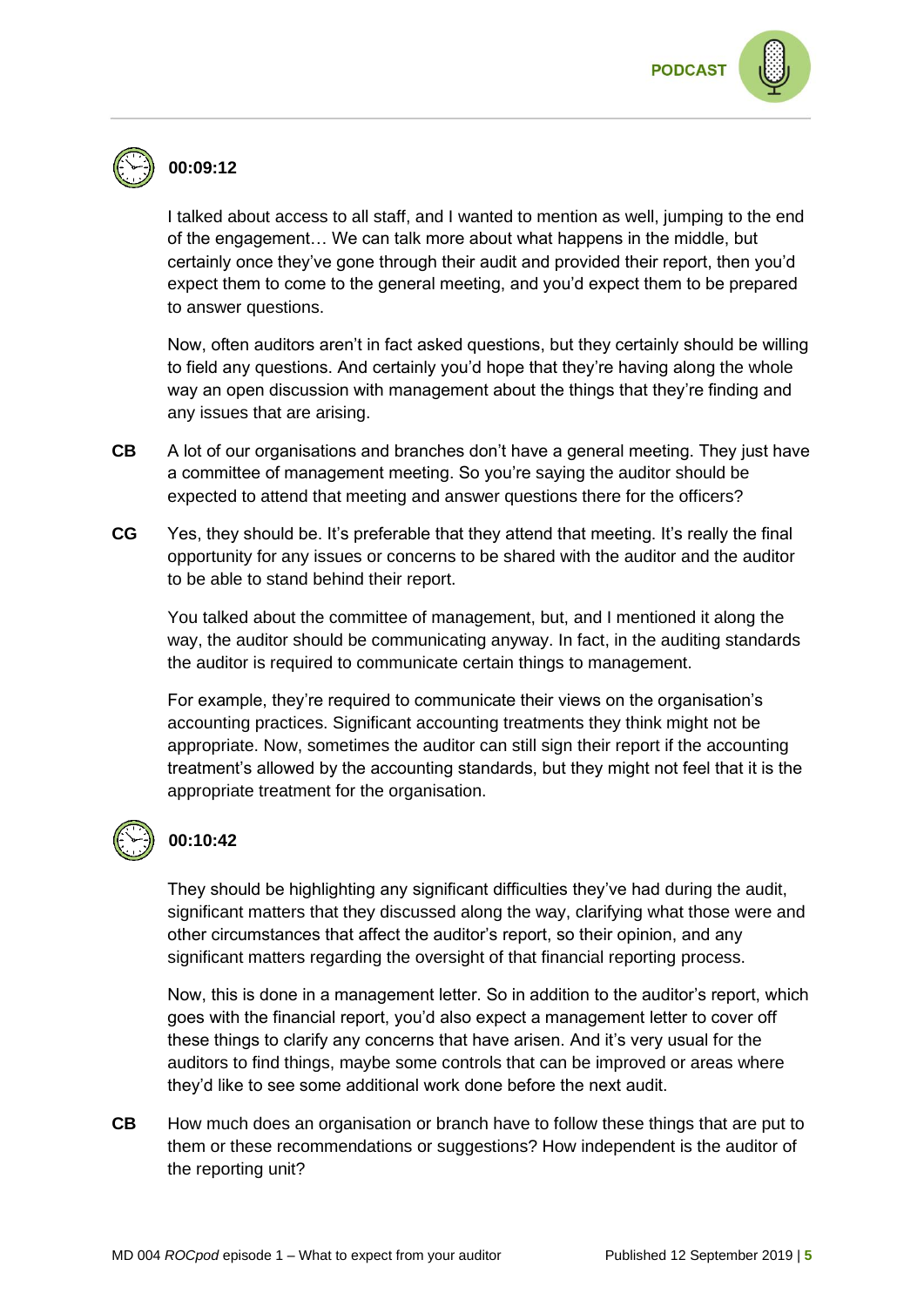

## **00:09:12**

I talked about access to all staff, and I wanted to mention as well, jumping to the end of the engagement… We can talk more about what happens in the middle, but certainly once they've gone through their audit and provided their report, then you'd expect them to come to the general meeting, and you'd expect them to be prepared to answer questions.

Now, often auditors aren't in fact asked questions, but they certainly should be willing to field any questions. And certainly you'd hope that they're having along the whole way an open discussion with management about the things that they're finding and any issues that are arising.

- **CB** A lot of our organisations and branches don't have a general meeting. They just have a committee of management meeting. So you're saying the auditor should be expected to attend that meeting and answer questions there for the officers?
- **CG** Yes, they should be. It's preferable that they attend that meeting. It's really the final opportunity for any issues or concerns to be shared with the auditor and the auditor to be able to stand behind their report.

You talked about the committee of management, but, and I mentioned it along the way, the auditor should be communicating anyway. In fact, in the auditing standards the auditor is required to communicate certain things to management.

For example, they're required to communicate their views on the organisation's accounting practices. Significant accounting treatments they think might not be appropriate. Now, sometimes the auditor can still sign their report if the accounting treatment's allowed by the accounting standards, but they might not feel that it is the appropriate treatment for the organisation.



#### **00:10:42**

They should be highlighting any significant difficulties they've had during the audit, significant matters that they discussed along the way, clarifying what those were and other circumstances that affect the auditor's report, so their opinion, and any significant matters regarding the oversight of that financial reporting process.

Now, this is done in a management letter. So in addition to the auditor's report, which goes with the financial report, you'd also expect a management letter to cover off these things to clarify any concerns that have arisen. And it's very usual for the auditors to find things, maybe some controls that can be improved or areas where they'd like to see some additional work done before the next audit.

**CB** How much does an organisation or branch have to follow these things that are put to them or these recommendations or suggestions? How independent is the auditor of the reporting unit?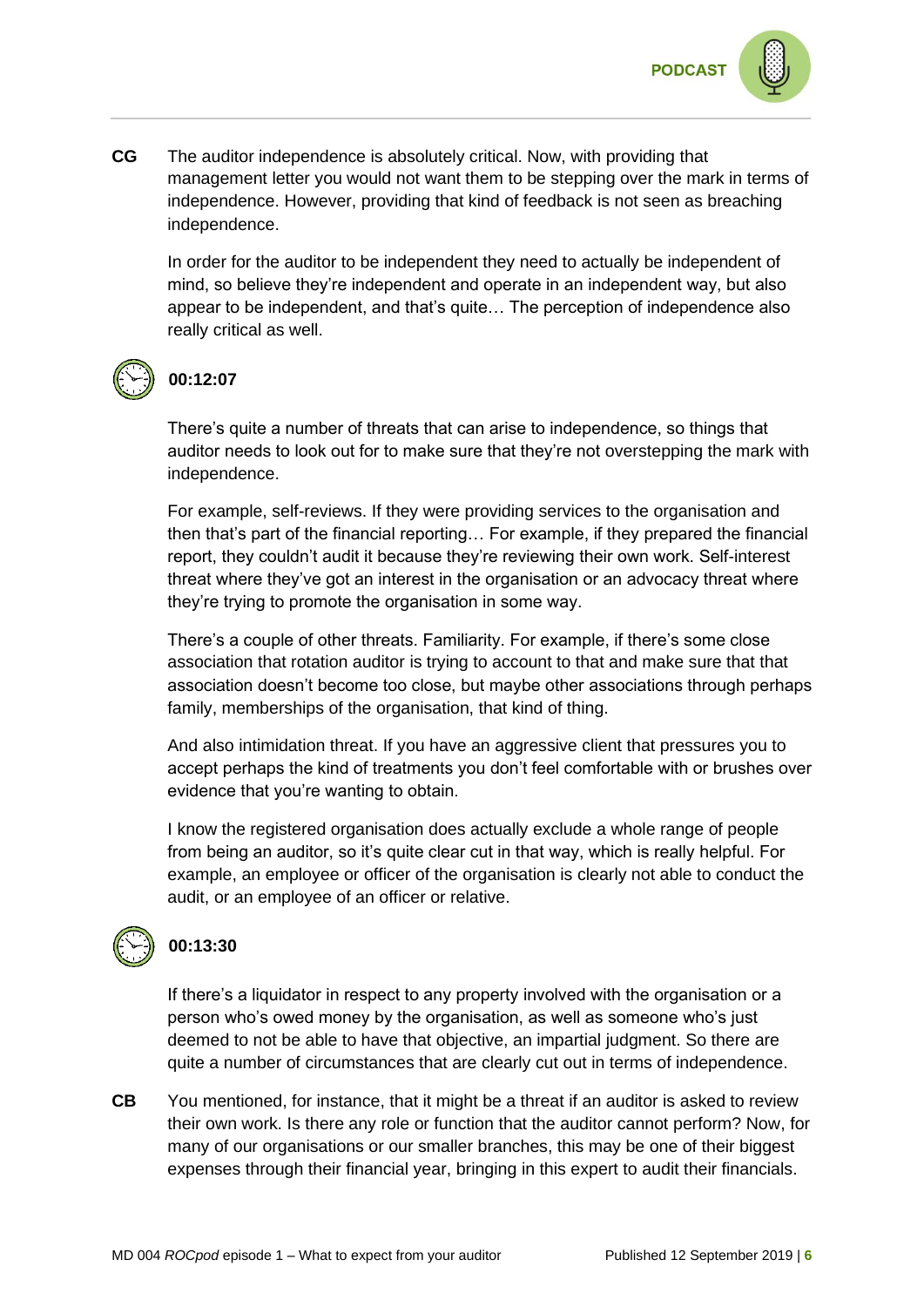

**CG** The auditor independence is absolutely critical. Now, with providing that management letter you would not want them to be stepping over the mark in terms of independence. However, providing that kind of feedback is not seen as breaching independence.

In order for the auditor to be independent they need to actually be independent of mind, so believe they're independent and operate in an independent way, but also appear to be independent, and that's quite… The perception of independence also really critical as well.



## **00:12:07**

There's quite a number of threats that can arise to independence, so things that auditor needs to look out for to make sure that they're not overstepping the mark with independence.

For example, self-reviews. If they were providing services to the organisation and then that's part of the financial reporting… For example, if they prepared the financial report, they couldn't audit it because they're reviewing their own work. Self-interest threat where they've got an interest in the organisation or an advocacy threat where they're trying to promote the organisation in some way.

There's a couple of other threats. Familiarity. For example, if there's some close association that rotation auditor is trying to account to that and make sure that that association doesn't become too close, but maybe other associations through perhaps family, memberships of the organisation, that kind of thing.

And also intimidation threat. If you have an aggressive client that pressures you to accept perhaps the kind of treatments you don't feel comfortable with or brushes over evidence that you're wanting to obtain.

I know the registered organisation does actually exclude a whole range of people from being an auditor, so it's quite clear cut in that way, which is really helpful. For example, an employee or officer of the organisation is clearly not able to conduct the audit, or an employee of an officer or relative.



#### **00:13:30**

If there's a liquidator in respect to any property involved with the organisation or a person who's owed money by the organisation, as well as someone who's just deemed to not be able to have that objective, an impartial judgment. So there are quite a number of circumstances that are clearly cut out in terms of independence.

**CB** You mentioned, for instance, that it might be a threat if an auditor is asked to review their own work. Is there any role or function that the auditor cannot perform? Now, for many of our organisations or our smaller branches, this may be one of their biggest expenses through their financial year, bringing in this expert to audit their financials.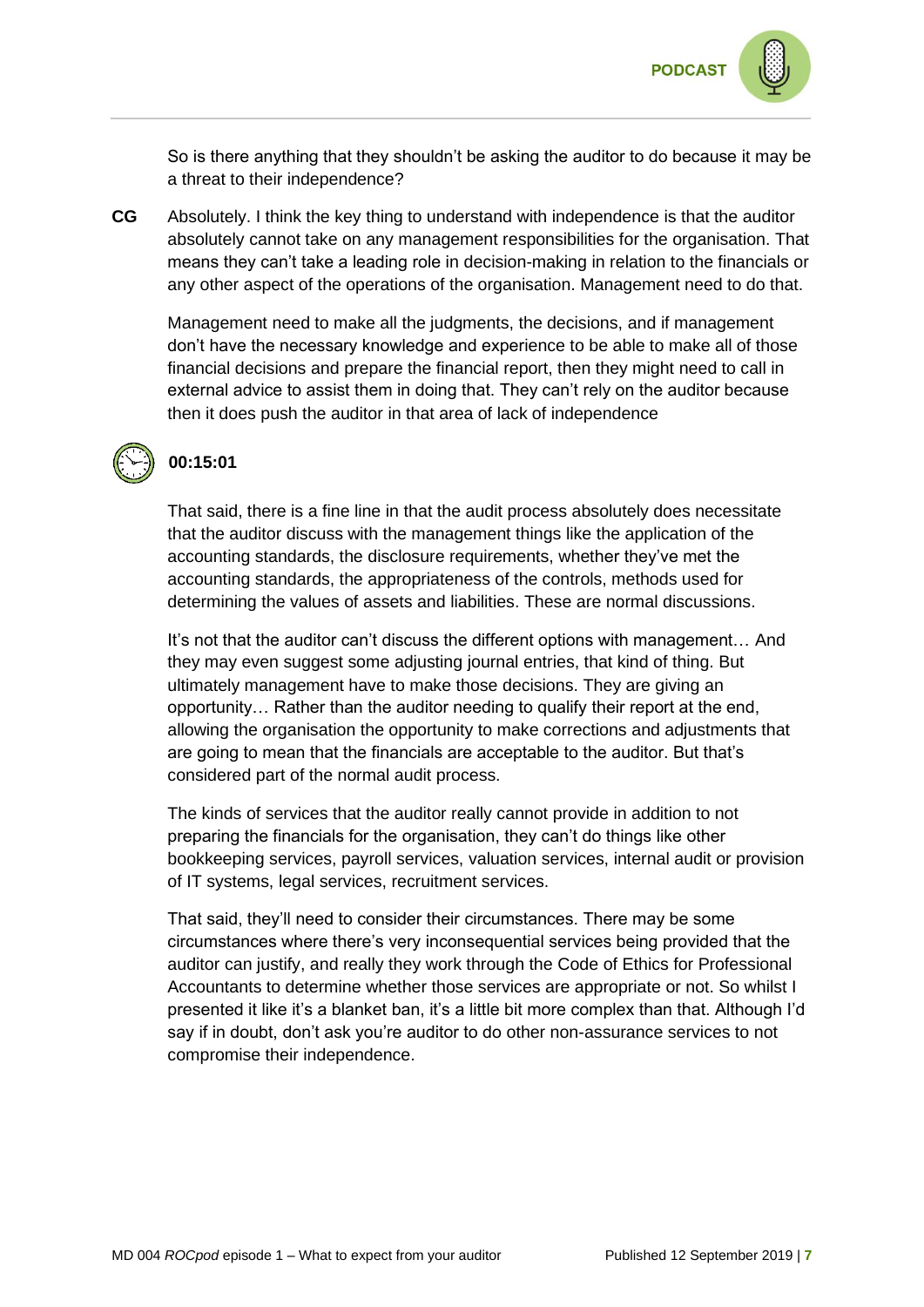

So is there anything that they shouldn't be asking the auditor to do because it may be a threat to their independence?

**CG** Absolutely. I think the key thing to understand with independence is that the auditor absolutely cannot take on any management responsibilities for the organisation. That means they can't take a leading role in decision-making in relation to the financials or any other aspect of the operations of the organisation. Management need to do that.

Management need to make all the judgments, the decisions, and if management don't have the necessary knowledge and experience to be able to make all of those financial decisions and prepare the financial report, then they might need to call in external advice to assist them in doing that. They can't rely on the auditor because then it does push the auditor in that area of lack of independence



### **00:15:01**

That said, there is a fine line in that the audit process absolutely does necessitate that the auditor discuss with the management things like the application of the accounting standards, the disclosure requirements, whether they've met the accounting standards, the appropriateness of the controls, methods used for determining the values of assets and liabilities. These are normal discussions.

It's not that the auditor can't discuss the different options with management… And they may even suggest some adjusting journal entries, that kind of thing. But ultimately management have to make those decisions. They are giving an opportunity… Rather than the auditor needing to qualify their report at the end, allowing the organisation the opportunity to make corrections and adjustments that are going to mean that the financials are acceptable to the auditor. But that's considered part of the normal audit process.

The kinds of services that the auditor really cannot provide in addition to not preparing the financials for the organisation, they can't do things like other bookkeeping services, payroll services, valuation services, internal audit or provision of IT systems, legal services, recruitment services.

That said, they'll need to consider their circumstances. There may be some circumstances where there's very inconsequential services being provided that the auditor can justify, and really they work through the Code of Ethics for Professional Accountants to determine whether those services are appropriate or not. So whilst I presented it like it's a blanket ban, it's a little bit more complex than that. Although I'd say if in doubt, don't ask you're auditor to do other non-assurance services to not compromise their independence.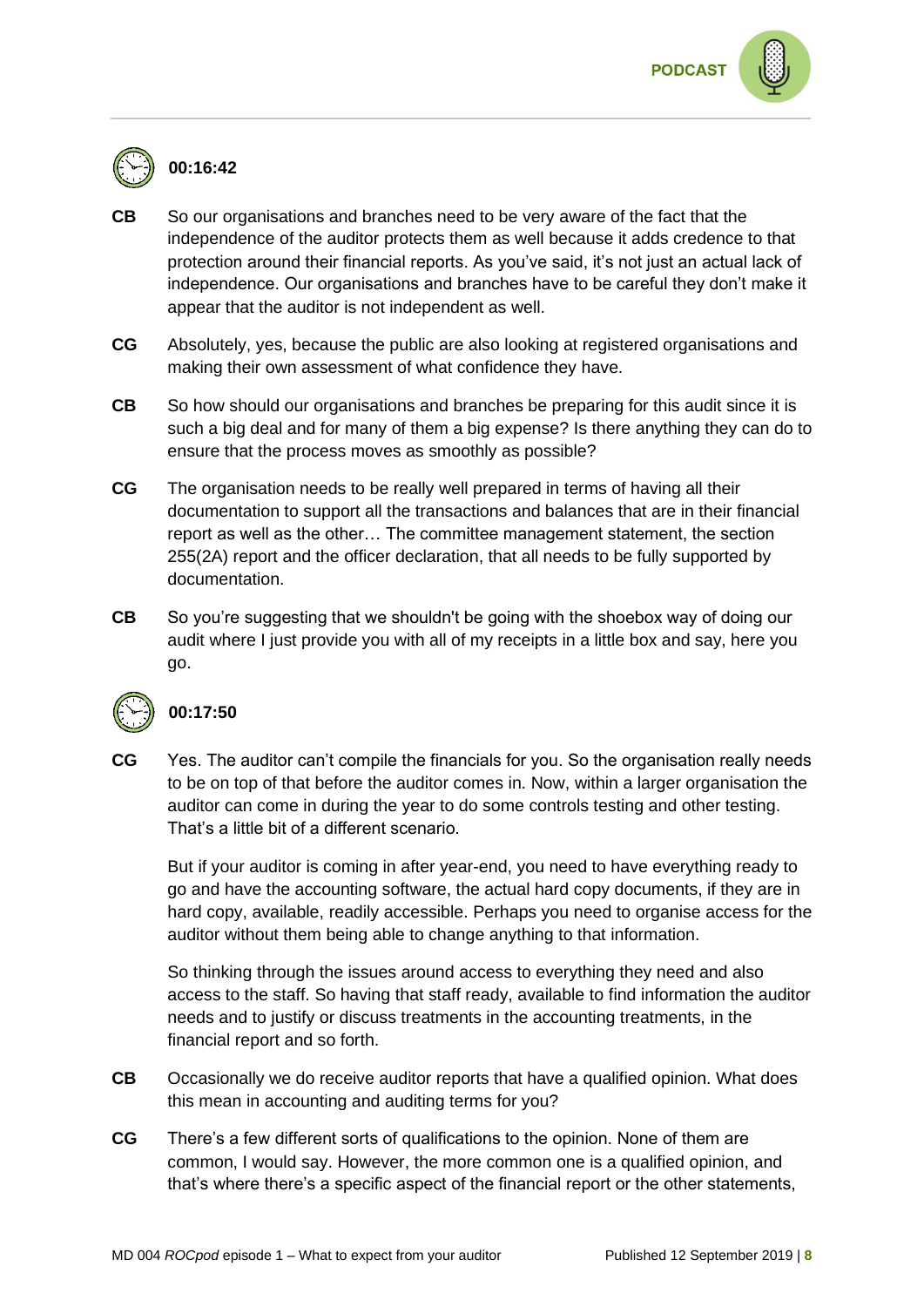

#### **00:16:42**

- **CB** So our organisations and branches need to be very aware of the fact that the independence of the auditor protects them as well because it adds credence to that protection around their financial reports. As you've said, it's not just an actual lack of independence. Our organisations and branches have to be careful they don't make it appear that the auditor is not independent as well.
- **CG** Absolutely, yes, because the public are also looking at registered organisations and making their own assessment of what confidence they have.
- **CB** So how should our organisations and branches be preparing for this audit since it is such a big deal and for many of them a big expense? Is there anything they can do to ensure that the process moves as smoothly as possible?
- **CG** The organisation needs to be really well prepared in terms of having all their documentation to support all the transactions and balances that are in their financial report as well as the other… The committee management statement, the section 255(2A) report and the officer declaration, that all needs to be fully supported by documentation.
- **CB** So you're suggesting that we shouldn't be going with the shoebox way of doing our audit where I just provide you with all of my receipts in a little box and say, here you go.



#### **00:17:50**

**CG** Yes. The auditor can't compile the financials for you. So the organisation really needs to be on top of that before the auditor comes in. Now, within a larger organisation the auditor can come in during the year to do some controls testing and other testing. That's a little bit of a different scenario.

But if your auditor is coming in after year-end, you need to have everything ready to go and have the accounting software, the actual hard copy documents, if they are in hard copy, available, readily accessible. Perhaps you need to organise access for the auditor without them being able to change anything to that information.

So thinking through the issues around access to everything they need and also access to the staff. So having that staff ready, available to find information the auditor needs and to justify or discuss treatments in the accounting treatments, in the financial report and so forth.

- **CB** Occasionally we do receive auditor reports that have a qualified opinion. What does this mean in accounting and auditing terms for you?
- **CG** There's a few different sorts of qualifications to the opinion. None of them are common, I would say. However, the more common one is a qualified opinion, and that's where there's a specific aspect of the financial report or the other statements,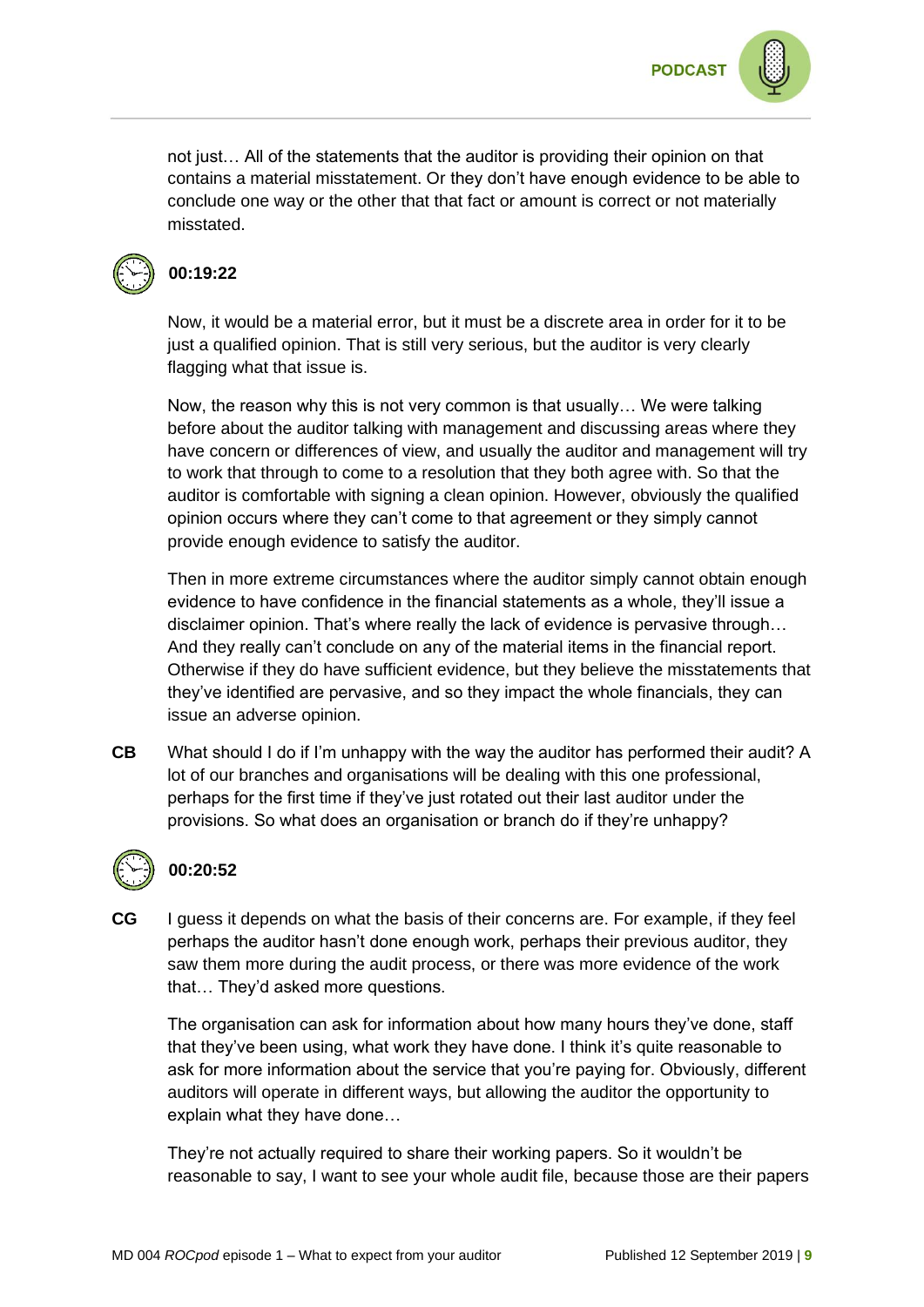not just… All of the statements that the auditor is providing their opinion on that contains a material misstatement. Or they don't have enough evidence to be able to conclude one way or the other that that fact or amount is correct or not materially misstated.



#### **00:19:22**

Now, it would be a material error, but it must be a discrete area in order for it to be just a qualified opinion. That is still very serious, but the auditor is very clearly flagging what that issue is.

Now, the reason why this is not very common is that usually… We were talking before about the auditor talking with management and discussing areas where they have concern or differences of view, and usually the auditor and management will try to work that through to come to a resolution that they both agree with. So that the auditor is comfortable with signing a clean opinion. However, obviously the qualified opinion occurs where they can't come to that agreement or they simply cannot provide enough evidence to satisfy the auditor.

Then in more extreme circumstances where the auditor simply cannot obtain enough evidence to have confidence in the financial statements as a whole, they'll issue a disclaimer opinion. That's where really the lack of evidence is pervasive through… And they really can't conclude on any of the material items in the financial report. Otherwise if they do have sufficient evidence, but they believe the misstatements that they've identified are pervasive, and so they impact the whole financials, they can issue an adverse opinion.

**CB** What should I do if I'm unhappy with the way the auditor has performed their audit? A lot of our branches and organisations will be dealing with this one professional, perhaps for the first time if they've just rotated out their last auditor under the provisions. So what does an organisation or branch do if they're unhappy?



## **00:20:52**

**CG** I guess it depends on what the basis of their concerns are. For example, if they feel perhaps the auditor hasn't done enough work, perhaps their previous auditor, they saw them more during the audit process, or there was more evidence of the work that… They'd asked more questions.

The organisation can ask for information about how many hours they've done, staff that they've been using, what work they have done. I think it's quite reasonable to ask for more information about the service that you're paying for. Obviously, different auditors will operate in different ways, but allowing the auditor the opportunity to explain what they have done…

They're not actually required to share their working papers. So it wouldn't be reasonable to say, I want to see your whole audit file, because those are their papers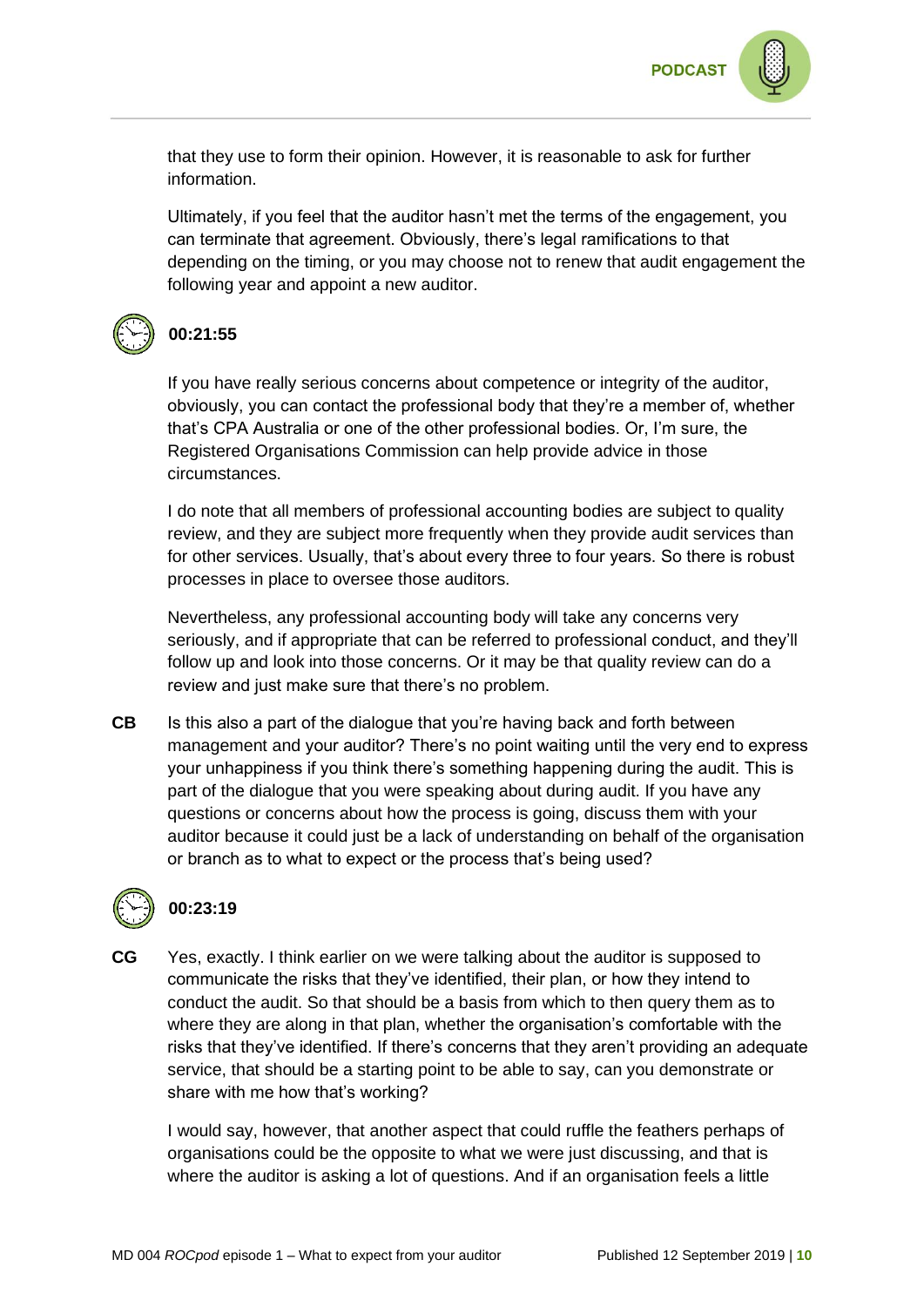

that they use to form their opinion. However, it is reasonable to ask for further information.

Ultimately, if you feel that the auditor hasn't met the terms of the engagement, you can terminate that agreement. Obviously, there's legal ramifications to that depending on the timing, or you may choose not to renew that audit engagement the following year and appoint a new auditor.



#### **00:21:55**

If you have really serious concerns about competence or integrity of the auditor, obviously, you can contact the professional body that they're a member of, whether that's CPA Australia or one of the other professional bodies. Or, I'm sure, the Registered Organisations Commission can help provide advice in those circumstances.

I do note that all members of professional accounting bodies are subject to quality review, and they are subject more frequently when they provide audit services than for other services. Usually, that's about every three to four years. So there is robust processes in place to oversee those auditors.

Nevertheless, any professional accounting body will take any concerns very seriously, and if appropriate that can be referred to professional conduct, and they'll follow up and look into those concerns. Or it may be that quality review can do a review and just make sure that there's no problem.

**CB** Is this also a part of the dialogue that you're having back and forth between management and your auditor? There's no point waiting until the very end to express your unhappiness if you think there's something happening during the audit. This is part of the dialogue that you were speaking about during audit. If you have any questions or concerns about how the process is going, discuss them with your auditor because it could just be a lack of understanding on behalf of the organisation or branch as to what to expect or the process that's being used?



## **00:23:19**

**CG** Yes, exactly. I think earlier on we were talking about the auditor is supposed to communicate the risks that they've identified, their plan, or how they intend to conduct the audit. So that should be a basis from which to then query them as to where they are along in that plan, whether the organisation's comfortable with the risks that they've identified. If there's concerns that they aren't providing an adequate service, that should be a starting point to be able to say, can you demonstrate or share with me how that's working?

I would say, however, that another aspect that could ruffle the feathers perhaps of organisations could be the opposite to what we were just discussing, and that is where the auditor is asking a lot of questions. And if an organisation feels a little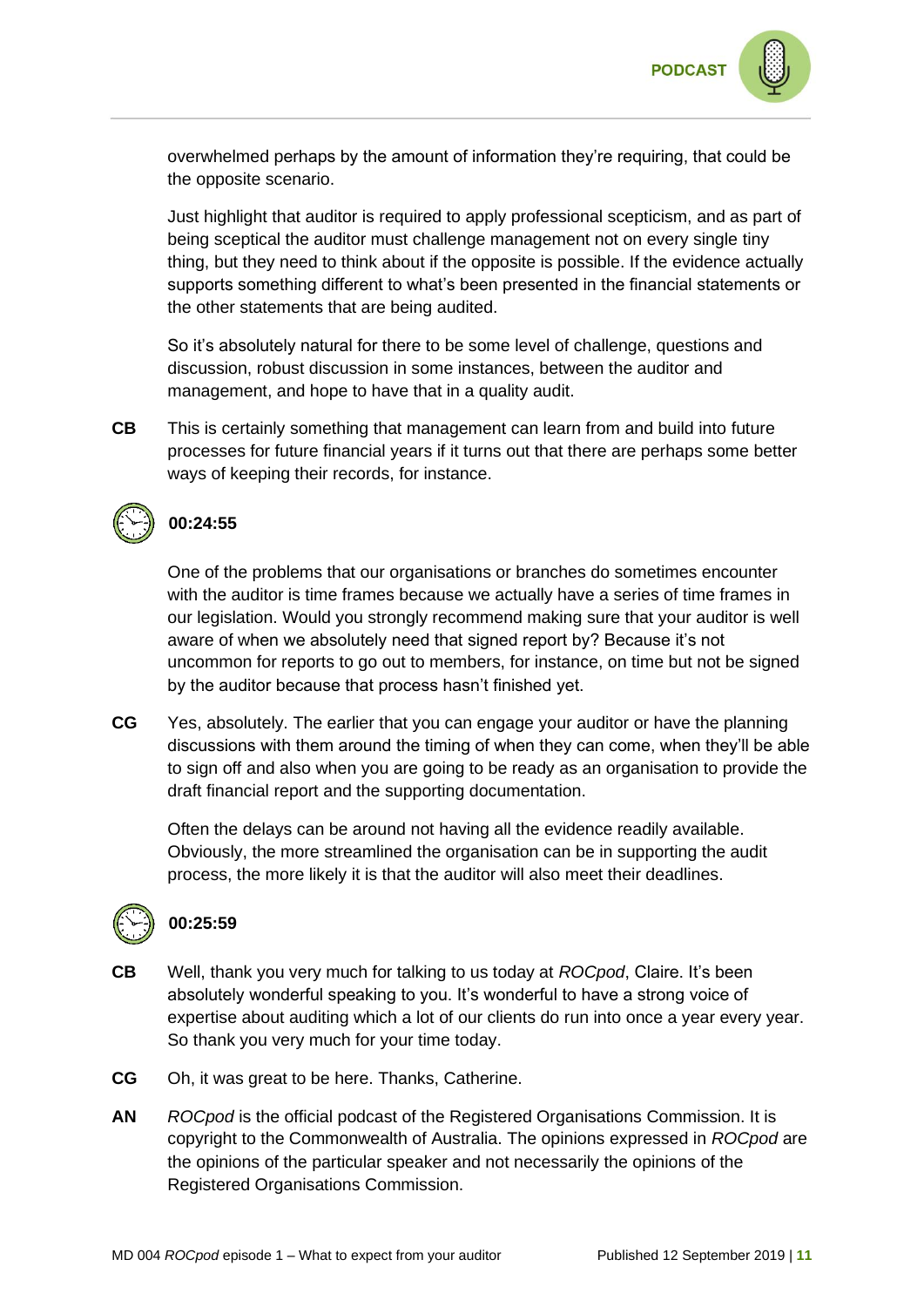

overwhelmed perhaps by the amount of information they're requiring, that could be the opposite scenario.

Just highlight that auditor is required to apply professional scepticism, and as part of being sceptical the auditor must challenge management not on every single tiny thing, but they need to think about if the opposite is possible. If the evidence actually supports something different to what's been presented in the financial statements or the other statements that are being audited.

So it's absolutely natural for there to be some level of challenge, questions and discussion, robust discussion in some instances, between the auditor and management, and hope to have that in a quality audit.

**CB** This is certainly something that management can learn from and build into future processes for future financial years if it turns out that there are perhaps some better ways of keeping their records, for instance.



#### **00:24:55**

One of the problems that our organisations or branches do sometimes encounter with the auditor is time frames because we actually have a series of time frames in our legislation. Would you strongly recommend making sure that your auditor is well aware of when we absolutely need that signed report by? Because it's not uncommon for reports to go out to members, for instance, on time but not be signed by the auditor because that process hasn't finished yet.

**CG** Yes, absolutely. The earlier that you can engage your auditor or have the planning discussions with them around the timing of when they can come, when they'll be able to sign off and also when you are going to be ready as an organisation to provide the draft financial report and the supporting documentation.

Often the delays can be around not having all the evidence readily available. Obviously, the more streamlined the organisation can be in supporting the audit process, the more likely it is that the auditor will also meet their deadlines.



#### **00:25:59**

- **CB** Well, thank you very much for talking to us today at *ROCpod*, Claire. It's been absolutely wonderful speaking to you. It's wonderful to have a strong voice of expertise about auditing which a lot of our clients do run into once a year every year. So thank you very much for your time today.
- **CG** Oh, it was great to be here. Thanks, Catherine.
- **AN** *ROCpod* is the official podcast of the Registered Organisations Commission. It is copyright to the Commonwealth of Australia. The opinions expressed in *ROCpod* are the opinions of the particular speaker and not necessarily the opinions of the Registered Organisations Commission.